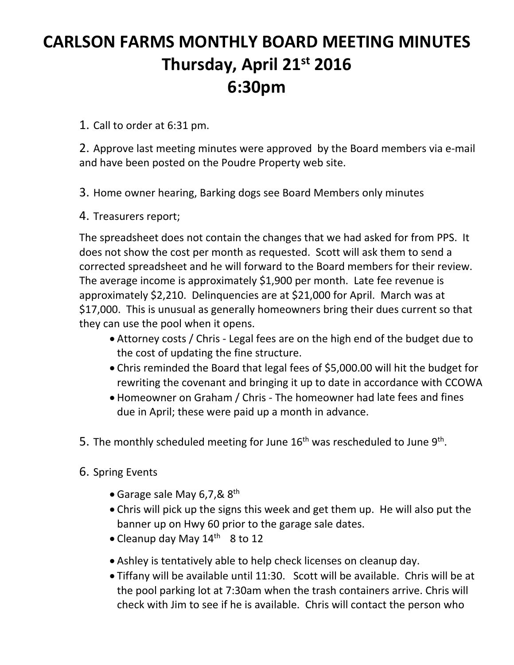# **CARLSON FARMS MONTHLY BOARD MEETING MINUTES Thursday, April 21st 2016 6:30pm**

1. Call to order at 6:31 pm.

2. Approve last meeting minutes were approved by the Board members via e‐mail and have been posted on the Poudre Property web site.

3. Home owner hearing, Barking dogs see Board Members only minutes

4. Treasurers report;

The spreadsheet does not contain the changes that we had asked for from PPS. It does not show the cost per month as requested. Scott will ask them to send a corrected spreadsheet and he will forward to the Board members for their review. The average income is approximately \$1,900 per month. Late fee revenue is approximately \$2,210. Delinquencies are at \$21,000 for April. March was at \$17,000. This is unusual as generally homeowners bring their dues current so that they can use the pool when it opens.

- Attorney costs / Chris Legal fees are on the high end of the budget due to the cost of updating the fine structure.
- Chris reminded the Board that legal fees of \$5,000.00 will hit the budget for rewriting the covenant and bringing it up to date in accordance with CCOWA
- Homeowner on Graham / Chris ‐ The homeowner had late fees and fines due in April; these were paid up a month in advance.
- 5. The monthly scheduled meeting for June  $16<sup>th</sup>$  was rescheduled to June  $9<sup>th</sup>$ .
- 6. Spring Events
	- Garage sale May 6,7,&  $8^{\text{th}}$
	- Chris will pick up the signs this week and get them up. He will also put the banner up on Hwy 60 prior to the garage sale dates.
	- Cleanup day May  $14^{\text{th}}$  8 to 12
	- Ashley is tentatively able to help check licenses on cleanup day.
	- Tiffany will be available until 11:30. Scott will be available. Chris will be at the pool parking lot at 7:30am when the trash containers arrive. Chris will check with Jim to see if he is available. Chris will contact the person who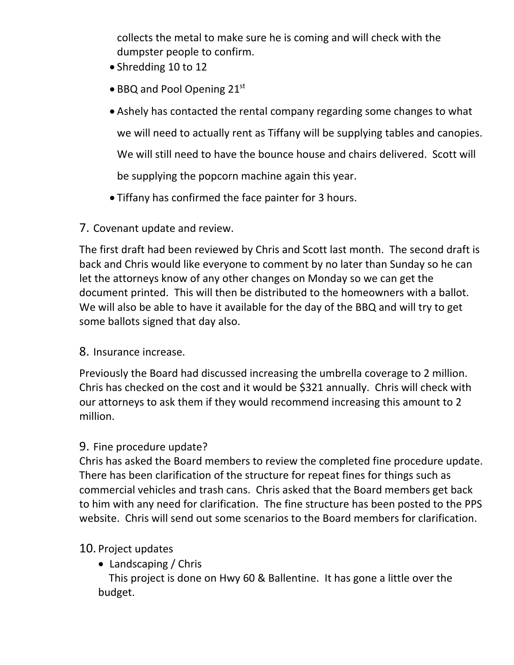collects the metal to make sure he is coming and will check with the dumpster people to confirm.

- Shredding 10 to 12
- BBQ and Pool Opening 21st
- Ashely has contacted the rental company regarding some changes to what we will need to actually rent as Tiffany will be supplying tables and canopies. We will still need to have the bounce house and chairs delivered. Scott will be supplying the popcorn machine again this year.
- Tiffany has confirmed the face painter for 3 hours.
- 7. Covenant update and review.

The first draft had been reviewed by Chris and Scott last month. The second draft is back and Chris would like everyone to comment by no later than Sunday so he can let the attorneys know of any other changes on Monday so we can get the document printed. This will then be distributed to the homeowners with a ballot. We will also be able to have it available for the day of the BBQ and will try to get some ballots signed that day also.

#### 8. Insurance increase.

Previously the Board had discussed increasing the umbrella coverage to 2 million. Chris has checked on the cost and it would be \$321 annually. Chris will check with our attorneys to ask them if they would recommend increasing this amount to 2 million.

## 9. Fine procedure update?

Chris has asked the Board members to review the completed fine procedure update. There has been clarification of the structure for repeat fines for things such as commercial vehicles and trash cans. Chris asked that the Board members get back to him with any need for clarification. The fine structure has been posted to the PPS website. Chris will send out some scenarios to the Board members for clarification.

## 10. Project updates

• Landscaping / Chris

 This project is done on Hwy 60 & Ballentine. It has gone a little over the budget.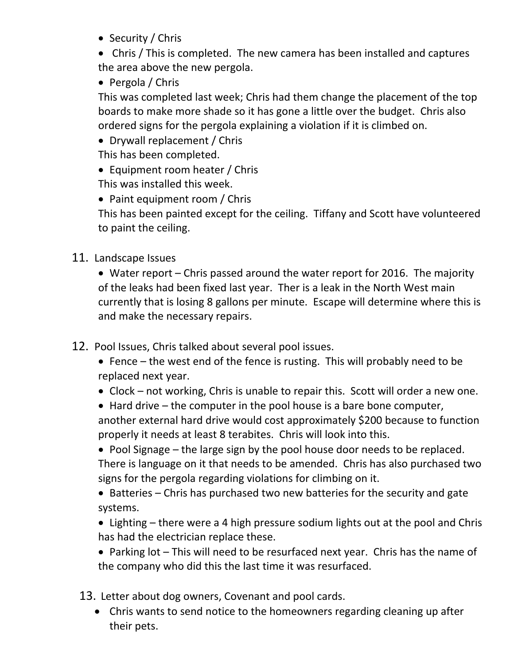• Security / Chris

 Chris / This is completed. The new camera has been installed and captures the area above the new pergola.

• Pergola / Chris

This was completed last week; Chris had them change the placement of the top boards to make more shade so it has gone a little over the budget. Chris also ordered signs for the pergola explaining a violation if it is climbed on.

- Drywall replacement / Chris This has been completed.
- Equipment room heater / Chris This was installed this week.
- Paint equipment room / Chris

This has been painted except for the ceiling. Tiffany and Scott have volunteered to paint the ceiling.

11. Landscape Issues

 Water report – Chris passed around the water report for 2016. The majority of the leaks had been fixed last year. Ther is a leak in the North West main currently that is losing 8 gallons per minute. Escape will determine where this is and make the necessary repairs.

- 12. Pool Issues, Chris talked about several pool issues.
	- Fence the west end of the fence is rusting. This will probably need to be replaced next year.
	- Clock not working, Chris is unable to repair this. Scott will order a new one.

 $\bullet$  Hard drive – the computer in the pool house is a bare bone computer, another external hard drive would cost approximately \$200 because to function properly it needs at least 8 terabites. Chris will look into this.

• Pool Signage – the large sign by the pool house door needs to be replaced. There is language on it that needs to be amended. Chris has also purchased two signs for the pergola regarding violations for climbing on it.

• Batteries – Chris has purchased two new batteries for the security and gate systems.

 Lighting – there were a 4 high pressure sodium lights out at the pool and Chris has had the electrician replace these.

 Parking lot – This will need to be resurfaced next year. Chris has the name of the company who did this the last time it was resurfaced.

- 13. Letter about dog owners, Covenant and pool cards.
	- Chris wants to send notice to the homeowners regarding cleaning up after their pets.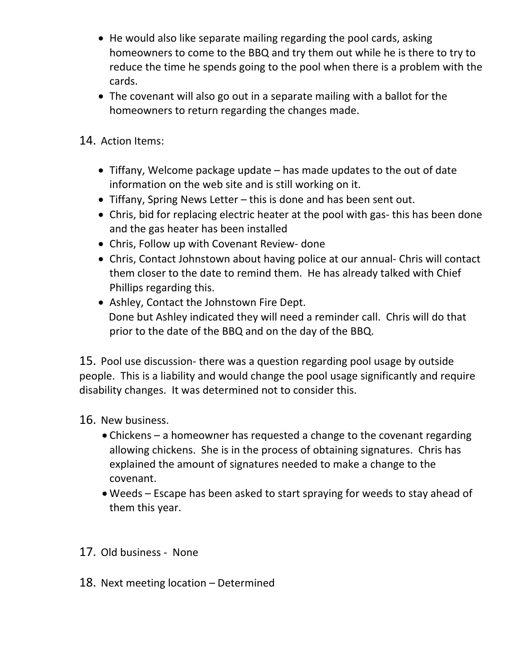- He would also like separate mailing regarding the pool cards, asking homeowners to come to the BBQ and try them out while he is there to try to reduce the time he spends going to the pool when there is a problem with the cards.
- The covenant will also go out in a separate mailing with a ballot for the homeowners to return regarding the changes made.
- 14. Action Items:
	- Tiffany, Welcome package update has made updates to the out of date information on the web site and is still working on it.
	- Tiffany, Spring News Letter this is done and has been sent out.
	- Chris, bid for replacing electric heater at the pool with gas-this has been done and the gas heater has been installed
	- Chris, Follow up with Covenant Review- done
	- Chris, Contact Johnstown about having police at our annual- Chris will contact them closer to the date to remind them. He has already talked with Chief Phillips regarding this.
	- Ashley, Contact the Johnstown Fire Dept. Done but Ashley indicated they will need a reminder call. Chris will do that prior to the date of the BBQ and on the day of the BBQ.

15. Pool use discussion‐ there was a question regarding pool usage by outside people. This is a liability and would change the pool usage significantly and require disability changes. It was determined not to consider this.

- 16. New business.
	- Chickens a homeowner has requested a change to the covenant regarding allowing chickens. She is in the process of obtaining signatures. Chris has explained the amount of signatures needed to make a change to the covenant.
	- Weeds Escape has been asked to start spraying for weeds to stay ahead of them this year.
- 17. Old business ‐ None
- 18. Next meeting location Determined